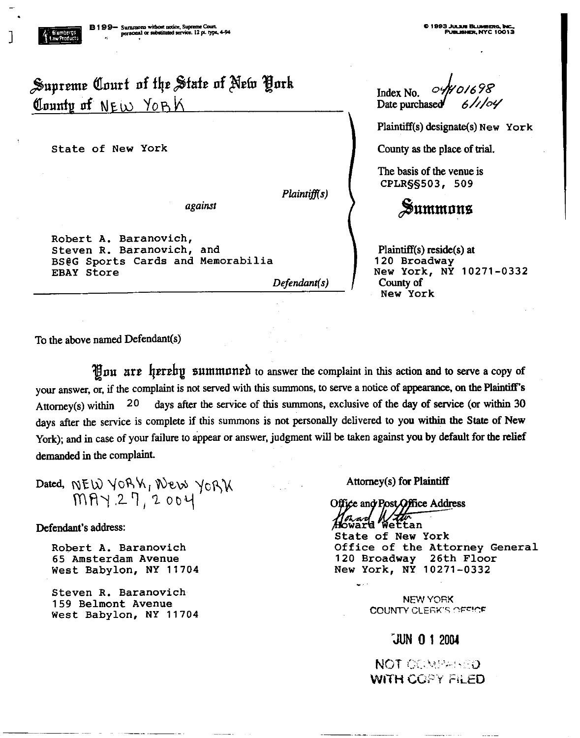# Supreme Court of the State of New York County of NEW YORK

State of New York

against

Robert A. Baranovich, Steven R. Baranovich, and BS@G Sports Cards and Memorabilia **EBAY Store** 

Defendant(s)

Plaintiff(s)

Index No. Date purchased

Plaintiff(s) designate(s) New York

County as the place of trial.

The basis of the venue is CPLR§§503, 509

# Summons

 $Plaintiff(s)$  reside $(s)$  at 120 Broadway New York, NY 10271-0332 County of New York

To the above named Defendant(s)

Hou are hereby summoned to answer the complaint in this action and to serve a copy of your answer, or, if the complaint is not served with this summons, to serve a notice of appearance, on the Plaintiff's Attorney(s) within  $20$ days after the service of this summons, exclusive of the day of service (or within 30 days after the service is complete if this summons is not personally delivered to you within the State of New York); and in case of your failure to appear or answer, judgment will be taken against you by default for the relief demanded in the complaint.

Dated, NEW YORK, New YORK

Defendant's address:

Robert A. Baranovich 65 Amsterdam Avenue West Babylon, NY 11704

Steven R. Baranovich 159 Belmont Avenue West Babylon, NY 11704 Attorney(s) for Plaintiff

Office and Post Office Address

ward' Wettan State of New York Office of the Attorney General 120 Broadway 26th Floor New York, NY 10271-0332

> **NEW YORK COUNTY CLERK'S OFFICE**

## JUN 0 1 2004

**NOT COMPARED** WITH COPY FILED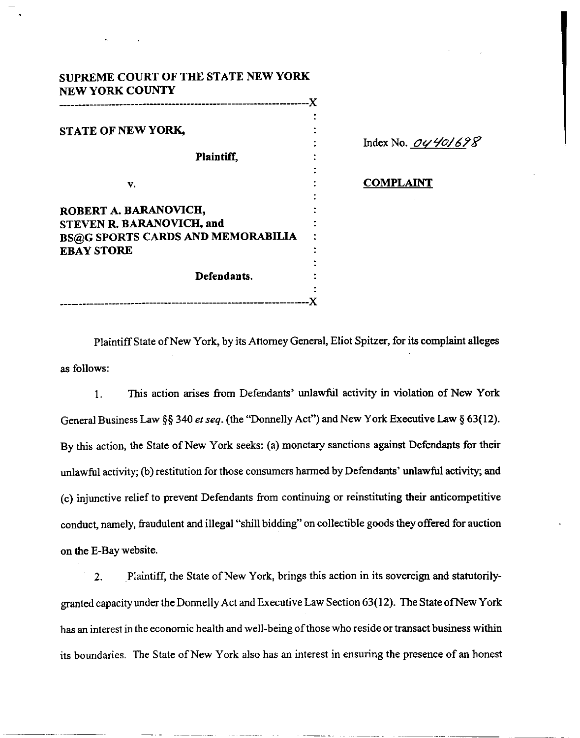| <b>All Contract Contract</b>                                                                                        |  |
|---------------------------------------------------------------------------------------------------------------------|--|
|                                                                                                                     |  |
|                                                                                                                     |  |
|                                                                                                                     |  |
|                                                                                                                     |  |
|                                                                                                                     |  |
|                                                                                                                     |  |
|                                                                                                                     |  |
| SUPREME COURT OF THE STATE NEW YORK<br><b>NEW YORK COUNTY</b>                                                       |  |
|                                                                                                                     |  |
| STATE OF NEW YORK,                                                                                                  |  |
| Plaintiff,                                                                                                          |  |
|                                                                                                                     |  |
| v.                                                                                                                  |  |
|                                                                                                                     |  |
|                                                                                                                     |  |
|                                                                                                                     |  |
|                                                                                                                     |  |
| ROBERT A. BARANOVICH,<br>STEVEN R. BARANOVICH, and<br><b>BS@G SPORTS CARDS AND MEMORABILIA</b><br><b>EBAY STORE</b> |  |
| Defendants.                                                                                                         |  |

Index No. 0440/698

**COMPLAINT** 

Plaintiff State of New York, by its Attorney General, Eliot Spitzer, for its complaint alleges as follows:

<sup>1</sup> . This action arises from Defendants' unlawful activity in violation of New York General Business Law §§ 340 et seq. (the "Donnelly Act") and New York Executive Law § 63(12). By this action, the State of New York seeks : (a) monetary sanctions against Defendants for their unlawful activity; (b) restitution for those consumers harmed by Defendants' unlawful activity; and (c) injunctive relief to prevent Defendants from continuing or reinstituting their anticompetitive conduct, namely, fraudulent and illegal "shill bidding" on collectible goods they offered for auction on the E-Bay website.

.Plaintiff, the State of New York, brings this action in its sovereign and statutorily- $2.$ granted capacity under the Donnelly Act and Executive Law Section 63(12) . The State ofNew York has an interest in the economic health and well-being of those who reside or transact business within its boundaries. The State of New York also has an interest in ensuring the presence of an honest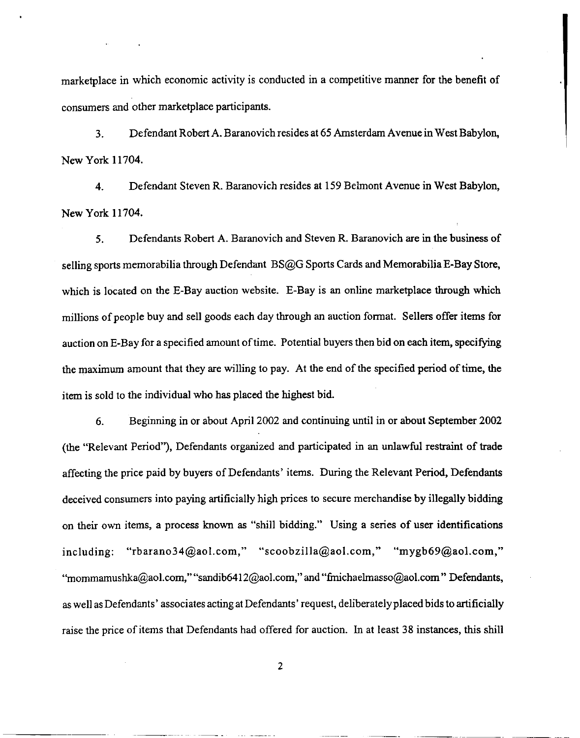marketplace in which economic activity is conducted in a competitive manner for the benefit of consumers and other marketplace participants .

 

3 . Defendant Robert A. Baranovich resides at 65 Amsterdam Avenue in West Babylon, New York 11704.

4. Defendant Steven R. Baranovich resides at 159 Belmont Avenue in West Babylon, New York 11704.

5 . Defendants Robert A . Baranovich and Steven R . Baranovich are in the business of selling sports memorabilia through Defendant BS@G Sports Cards and Memorabilia E-Bay Store, which is located on the E-Bay auction website. E-Bay is an online marketplace through which millions of people buy and sell goods each day through an auction format. Sellers offer items for auction on E-Bay for a specified amount of time. Potential buyers then bid on each item, specifying the maximum amount that they are willing to pay. At the end of the specified period of time, the item is sold to the individual who has placed the highest bid.

6. Beginning in or about April 2002 and continuing until in or about September 2002 (the "Relevant Period"), Defendants organized and participated in an unlawful restraint of trade affecting the price paid by buyers of Defendants' items. During the Relevant Period, Defendants deceived consumers into paying artificially high prices to secure merchandise by illegally bidding on their own items, a process known as "shill bidding ." Using a series of user identifications  $including:$  "rbarano34@aol.com," " $scootzilla@aol.com,"$  "mygb69@aol.com," "mommamushka@aol.com," "sandib6412@aol.com," and "fmichaelmasso@aol.com" Defendants, as well as Defendants' associates acting at Defendants' request, deliberately placed bids to artificially raise the price of items that Defendants had offered for auction. In at least 38 instances, this shill

2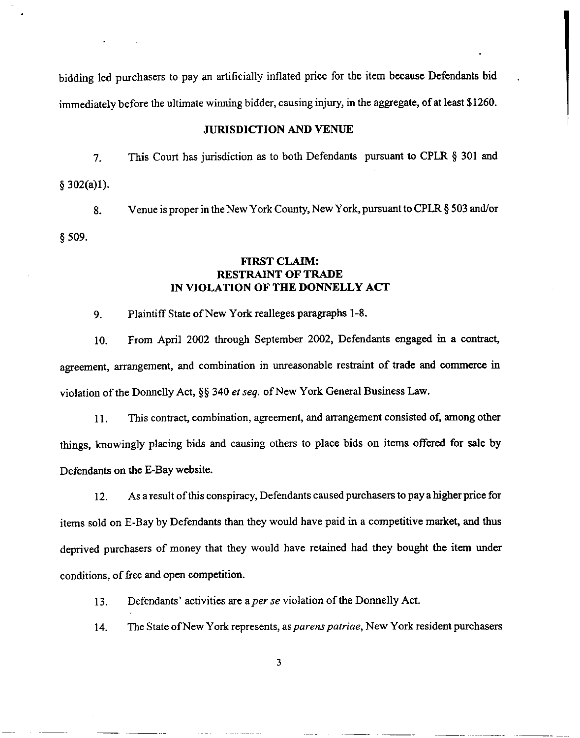bidding led purchasers to pay an artificially inflated price for the item because Defendants bid immediately before the ultimate winning bidder, causing injury, in the aggregate, of at least \$1260 .

#### JURISDICTION AND VENUE

7. This Court has jurisdiction as to both Defendants pursuant to CPLR § 301 and  $§ 302(a)1).$ 

8. Venue is proper in the New York County, New York, pursuant to CPLR § 503 and/or § 509.

### FIRST CLAIM: RESTRAINT OF TRADE IN VIOLATION OF THE DONNELLY ACT

9. Plaintiff State of New York realleges paragraphs 1-8 .

 

agreement, arrangement, and combination in unreasonable restraint of trade and commerce in violation of the Donnelly Act,  $\S$ § 340 et seq. of New York General Business Law. 10 . From April 2002 through September 2002, Defendants engaged in a contract,

11 . This contract, combination, agreement, and arrangement consisted of, among other things, knowingly placing bids and causing others to place bids on items offered for sale by Defendants on the E-Bay website.

12 . As a result of this conspiracy, Defendants caused purchasers to pay a higher price for items sold on E-Bay by Defendants than they would have paid in a competitive market, and thus deprived purchasers of money that they would have retained had they bought the item under conditions, of free and open competition.

13. Defendants' activities are a per se violation of the Donnelly Act.

14. The State of New York represents, as *parens patriae*, New York resident purchasers

3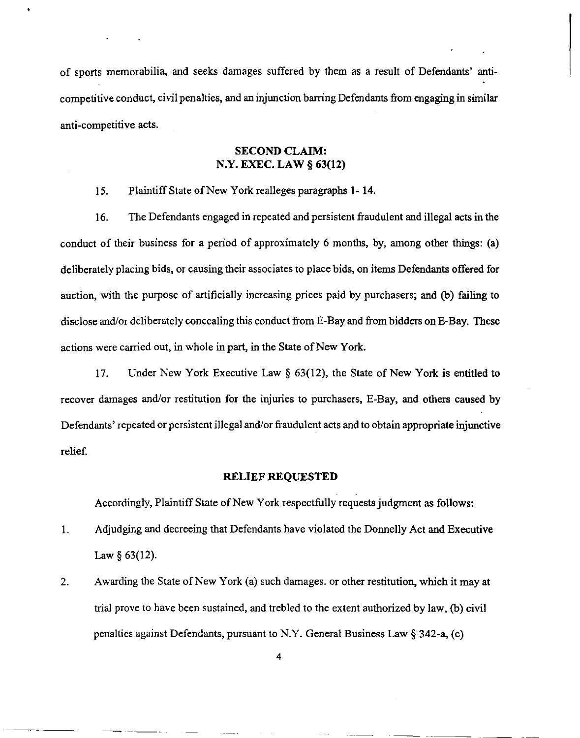of sports memorabilia, and seeks damages suffered by them as a result of Defendants' anticompetitive conduct, civil penalties, and an injunction barring Defendants from engaging in similar anti-competitive acts . 

### SECOND CLAIM: N.Y. EXEC. LAW § 63(12)

15. Plaintiff State of New York realleges paragraphs 1- 14 .

16. The Defendants engaged in repeated and persistent fraudulent and illegal acts in the conduct of their business for a period of approximately 6 months, by, among other things: (a) deliberately placing bids, or causing their associates to place bids, on items Defendants offered for auction, with the purpose of artificially increasing prices paid by purchasers; and (b) failing to disclose and/or deliberately concealing this conduct from E-Bay and from bidders on E-Bay . These actions were carried out, in whole in part, in the State of New York. At the memorial in and seeks damages suffered by them as a result of Defendants' and competitive conduct, civil peralties, and an injunction barring Defendants from engaging in similar anti-competitive acts.<br>
SECOND CLAIM

17. Under New York Executive Law § 63(12), the State of New York is entitled to recover damages and/or restitution for the injuries to purchasers, E-Bay, and others caused by Defendants' repeated or persistent illegal and/or fraudulent acts and to obtain appropriate injunctive relief.

#### RELIEF REQUESTED

Accordingly, Plaintiff State of New York respectfully requests judgment as follows :

- 1 . Law  $§$  63(12).
- 2. Awarding the State of New York (a) such damages . or other restitution, which it may at trial prove to have been sustained, and trebled to the extent authorized by law, (b) civil penalties against Defendants, pursuant to N .Y. General Business Law § 342-a, (c)